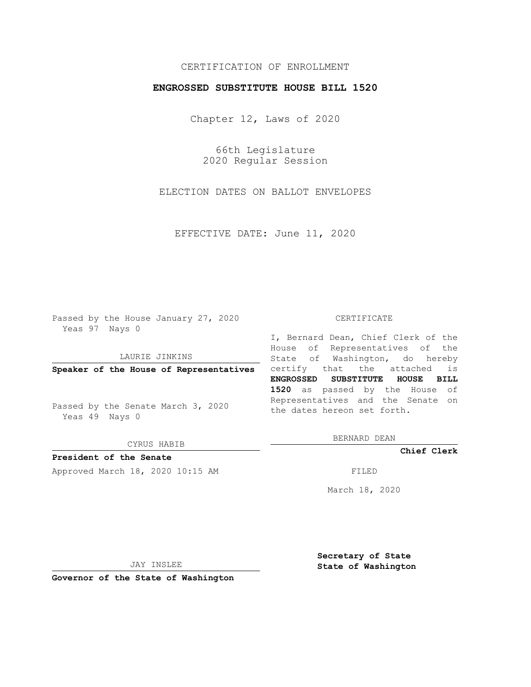# CERTIFICATION OF ENROLLMENT

### **ENGROSSED SUBSTITUTE HOUSE BILL 1520**

Chapter 12, Laws of 2020

66th Legislature 2020 Regular Session

ELECTION DATES ON BALLOT ENVELOPES

EFFECTIVE DATE: June 11, 2020

Passed by the House January 27, 2020 Yeas 97 Nays 0

LAURIE JINKINS

Passed by the Senate March 3, 2020 Yeas 49 Nays 0

CYRUS HABIB

**President of the Senate**

Approved March 18, 2020 10:15 AM FILED

#### CERTIFICATE

**Speaker of the House of Representatives** certify that the attached is I, Bernard Dean, Chief Clerk of the House of Representatives of the State of Washington, do hereby **ENGROSSED SUBSTITUTE HOUSE BILL 1520** as passed by the House of Representatives and the Senate on the dates hereon set forth.

BERNARD DEAN

**Chief Clerk**

March 18, 2020

JAY INSLEE

**Governor of the State of Washington**

**Secretary of State State of Washington**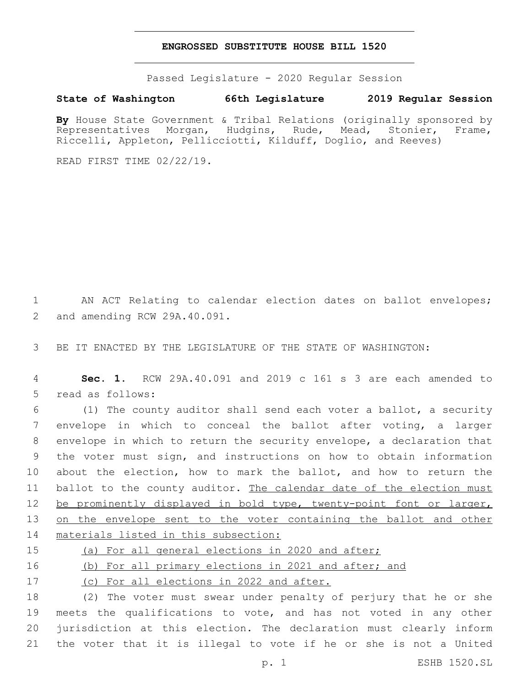### **ENGROSSED SUBSTITUTE HOUSE BILL 1520**

Passed Legislature - 2020 Regular Session

## **State of Washington 66th Legislature 2019 Regular Session**

By House State Government & Tribal Relations (originally sponsored by Representatives Morgan, Hudgins, Rude, Mead, Stonier, Frame, Riccelli, Appleton, Pellicciotti, Kilduff, Doglio, and Reeves)

READ FIRST TIME 02/22/19.

1 AN ACT Relating to calendar election dates on ballot envelopes; 2 and amending RCW 29A.40.091.

3 BE IT ENACTED BY THE LEGISLATURE OF THE STATE OF WASHINGTON:

4 **Sec. 1.** RCW 29A.40.091 and 2019 c 161 s 3 are each amended to 5 read as follows:

 (1) The county auditor shall send each voter a ballot, a security envelope in which to conceal the ballot after voting, a larger envelope in which to return the security envelope, a declaration that the voter must sign, and instructions on how to obtain information about the election, how to mark the ballot, and how to return the 11 ballot to the county auditor. The calendar date of the election must 12 be prominently displayed in bold type, twenty-point font or larger, 13 on the envelope sent to the voter containing the ballot and other materials listed in this subsection:

15 (a) For all general elections in 2020 and after;

16 (b) For all primary elections in 2021 and after; and

17 (c) For all elections in 2022 and after.

 (2) The voter must swear under penalty of perjury that he or she meets the qualifications to vote, and has not voted in any other jurisdiction at this election. The declaration must clearly inform the voter that it is illegal to vote if he or she is not a United